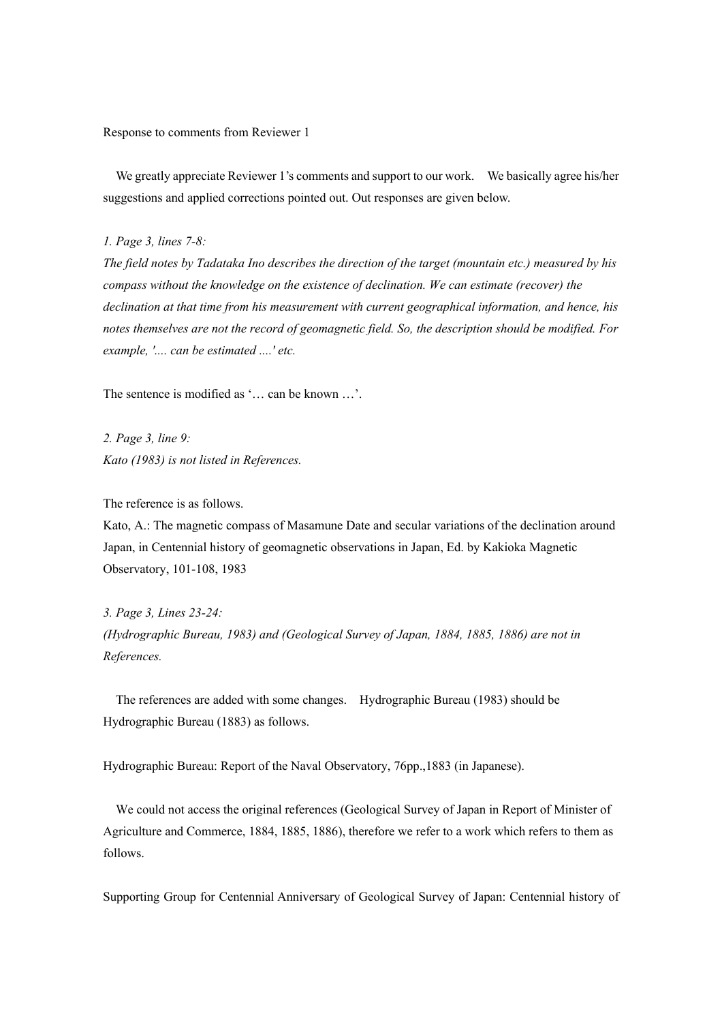Response to comments from Reviewer 1

 We greatly appreciate Reviewer 1's comments and support to our work. We basically agree his/her suggestions and applied corrections pointed out. Out responses are given below.

*1. Page 3, lines 7-8:*

*The field notes by Tadataka Ino describes the direction of the target (mountain etc.) measured by his compass without the knowledge on the existence of declination. We can estimate (recover) the declination at that time from his measurement with current geographical information, and hence, his notes themselves are not the record of geomagnetic field. So, the description should be modified. For example, '.... can be estimated ....' etc.*

The sentence is modified as '… can be known …'.

*2. Page 3, line 9: Kato (1983) is not listed in References.*

The reference is as follows.

Kato, A.: The magnetic compass of Masamune Date and secular variations of the declination around Japan, in Centennial history of geomagnetic observations in Japan, Ed. by Kakioka Magnetic Observatory, 101-108, 1983

*3. Page 3, Lines 23-24: (Hydrographic Bureau, 1983) and (Geological Survey of Japan, 1884, 1885, 1886) are not in References.*

The references are added with some changes. Hydrographic Bureau (1983) should be Hydrographic Bureau (1883) as follows.

Hydrographic Bureau: Report of the Naval Observatory, 76pp.,1883 (in Japanese).

We could not access the original references (Geological Survey of Japan in Report of Minister of Agriculture and Commerce, 1884, 1885, 1886), therefore we refer to a work which refers to them as follows.

Supporting Group for Centennial Anniversary of Geological Survey of Japan: Centennial history of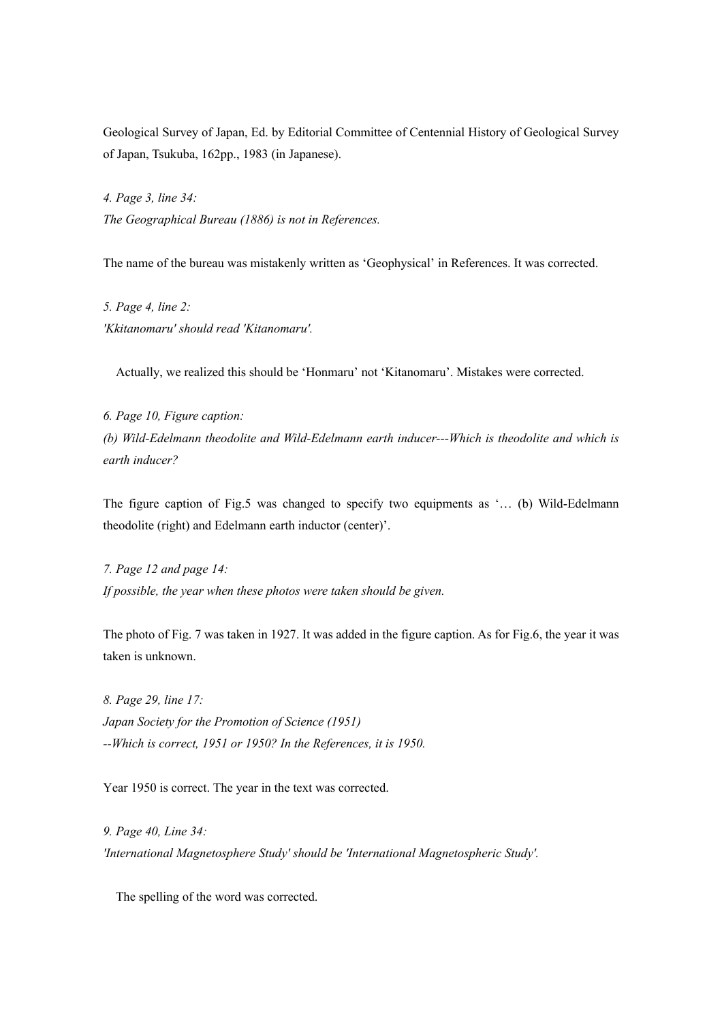Geological Survey of Japan, Ed. by Editorial Committee of Centennial History of Geological Survey of Japan, Tsukuba, 162pp., 1983 (in Japanese).

*4. Page 3, line 34: The Geographical Bureau (1886) is not in References.*

The name of the bureau was mistakenly written as 'Geophysical' in References. It was corrected.

*5. Page 4, line 2: 'Kkitanomaru' should read 'Kitanomaru'.*

Actually, we realized this should be 'Honmaru' not 'Kitanomaru'. Mistakes were corrected.

*6. Page 10, Figure caption: (b) Wild-Edelmann theodolite and Wild-Edelmann earth inducer---Which is theodolite and which is earth inducer?*

The figure caption of Fig.5 was changed to specify two equipments as '… (b) Wild-Edelmann theodolite (right) and Edelmann earth inductor (center)'.

*7. Page 12 and page 14: If possible, the year when these photos were taken should be given.*

The photo of Fig. 7 was taken in 1927. It was added in the figure caption. As for Fig.6, the year it was taken is unknown.

*8. Page 29, line 17: Japan Society for the Promotion of Science (1951) --Which is correct, 1951 or 1950? In the References, it is 1950.*

Year 1950 is correct. The year in the text was corrected.

*9. Page 40, Line 34: 'International Magnetosphere Study' should be 'International Magnetospheric Study'.*

The spelling of the word was corrected.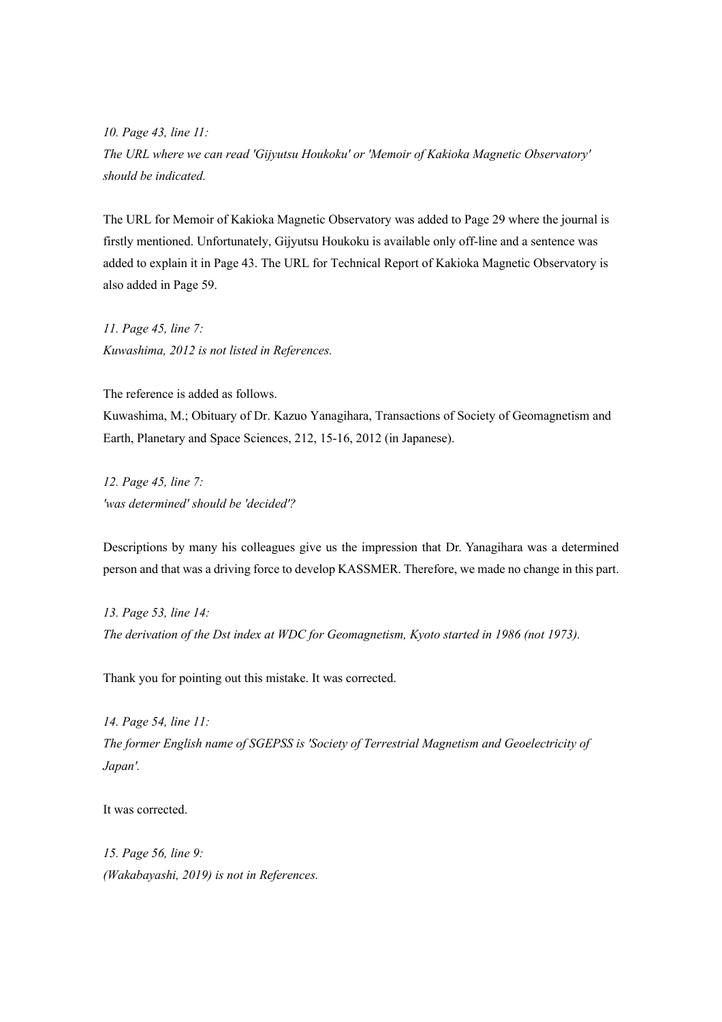*10. Page 43, line 11: The URL where we can read 'Gijyutsu Houkoku' or 'Memoir of Kakioka Magnetic Observatory' should be indicated.*

The URL for Memoir of Kakioka Magnetic Observatory was added to Page 29 where the journal is firstly mentioned. Unfortunately, Gijyutsu Houkoku is available only off-line and a sentence was added to explain it in Page 43. The URL for Technical Report of Kakioka Magnetic Observatory is also added in Page 59.

*11. Page 45, line 7: Kuwashima, 2012 is not listed in References.*

The reference is added as follows.

Kuwashima, M.; Obituary of Dr. Kazuo Yanagihara, Transactions of Society of Geomagnetism and Earth, Planetary and Space Sciences, 212, 15-16, 2012 (in Japanese).

*12. Page 45, line 7: 'was determined' should be 'decided'?*

Descriptions by many his colleagues give us the impression that Dr. Yanagihara was a determined person and that was a driving force to develop KASSMER. Therefore, we made no change in this part.

*13. Page 53, line 14: The derivation of the Dst index at WDC for Geomagnetism, Kyoto started in 1986 (not 1973).*

Thank you for pointing out this mistake. It was corrected.

*14. Page 54, line 11: The former English name of SGEPSS is 'Society of Terrestrial Magnetism and Geoelectricity of Japan'.*

It was corrected.

*15. Page 56, line 9: (Wakabayashi, 2019) is not in References.*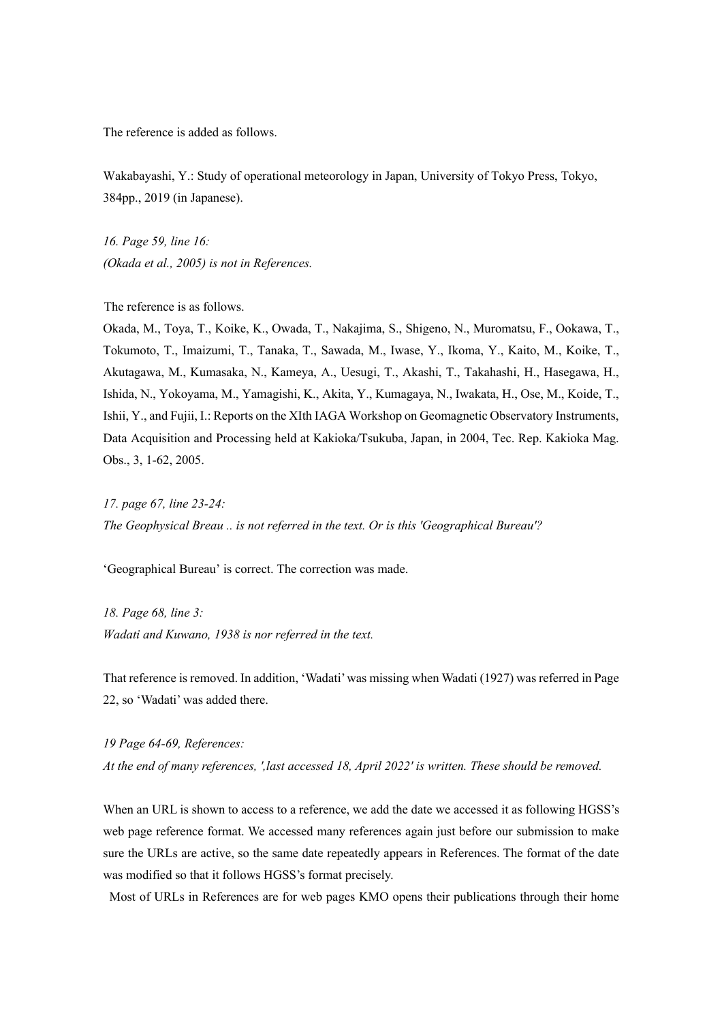The reference is added as follows.

Wakabayashi, Y.: Study of operational meteorology in Japan, University of Tokyo Press, Tokyo, 384pp., 2019 (in Japanese).

*16. Page 59, line 16: (Okada et al., 2005) is not in References.*

The reference is as follows.

Okada, M., Toya, T., Koike, K., Owada, T., Nakajima, S., Shigeno, N., Muromatsu, F., Ookawa, T., Tokumoto, T., Imaizumi, T., Tanaka, T., Sawada, M., Iwase, Y., Ikoma, Y., Kaito, M., Koike, T., Akutagawa, M., Kumasaka, N., Kameya, A., Uesugi, T., Akashi, T., Takahashi, H., Hasegawa, H., Ishida, N., Yokoyama, M., Yamagishi, K., Akita, Y., Kumagaya, N., Iwakata, H., Ose, M., Koide, T., Ishii, Y., and Fujii, I.: Reports on the XIth IAGA Workshop on Geomagnetic Observatory Instruments, Data Acquisition and Processing held at Kakioka/Tsukuba, Japan, in 2004, Tec. Rep. Kakioka Mag. Obs., 3, 1-62, 2005.

*17. page 67, line 23-24: The Geophysical Breau .. is not referred in the text. Or is this 'Geographical Bureau'?*

'Geographical Bureau' is correct. The correction was made.

*18. Page 68, line 3: Wadati and Kuwano, 1938 is nor referred in the text.*

That reference is removed. In addition, 'Wadati' was missing when Wadati (1927) was referred in Page 22, so 'Wadati' was added there.

*19 Page 64-69, References: At the end of many references, ',last accessed 18, April 2022' is written. These should be removed.*

When an URL is shown to access to a reference, we add the date we accessed it as following HGSS's web page reference format. We accessed many references again just before our submission to make sure the URLs are active, so the same date repeatedly appears in References. The format of the date was modified so that it follows HGSS's format precisely.

Most of URLs in References are for web pages KMO opens their publications through their home